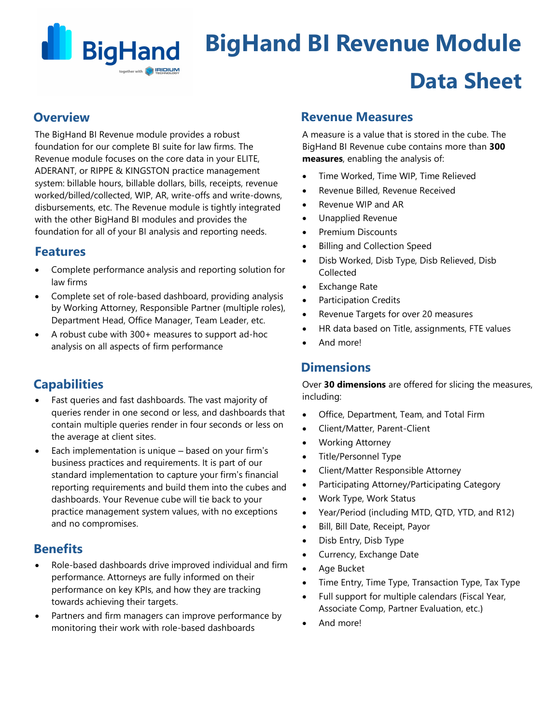

# **BigHand BI Revenue Module Data Sheet**

### **Overview**

The BigHand BI Revenue module provides a robust foundation for our complete BI suite for law firms. The Revenue module focuses on the core data in your ELITE, ADERANT, or RIPPE & KINGSTON practice management system: billable hours, billable dollars, bills, receipts, revenue worked/billed/collected, WIP, AR, write-offs and write-downs, disbursements, etc. The Revenue module is tightly integrated with the other BigHand BI modules and provides the foundation for all of your BI analysis and reporting needs.

## **Features**

- Complete performance analysis and reporting solution for law firms
- Complete set of role-based dashboard, providing analysis by Working Attorney, Responsible Partner (multiple roles), Department Head, Office Manager, Team Leader, etc.
- A robust cube with 300+ measures to support ad-hoc analysis on all aspects of firm performance

## **Capabilities**

- Fast queries and fast dashboards. The vast majority of queries render in one second or less, and dashboards that contain multiple queries render in four seconds or less on the average at client sites.
- Each implementation is unique based on your firm's business practices and requirements. It is part of our standard implementation to capture your firm's financial reporting requirements and build them into the cubes and dashboards. Your Revenue cube will tie back to your practice management system values, with no exceptions and no compromises.

## **Benefits**

- Role-based dashboards drive improved individual and firm performance. Attorneys are fully informed on their performance on key KPIs, and how they are tracking towards achieving their targets.
- Partners and firm managers can improve performance by monitoring their work with role-based dashboards

## **Revenue Measures**

A measure is a value that is stored in the cube. The BigHand BI Revenue cube contains more than **300 measures**, enabling the analysis of:

- Time Worked, Time WIP, Time Relieved
- Revenue Billed, Revenue Received
- Revenue WIP and AR
- Unapplied Revenue
- Premium Discounts
- Billing and Collection Speed
- Disb Worked, Disb Type, Disb Relieved, Disb Collected
- Exchange Rate
- Participation Credits
- Revenue Targets for over 20 measures
- HR data based on Title, assignments, FTE values
- And more!

## **Dimensions**

Over **30 dimensions** are offered for slicing the measures, including:

- Office, Department, Team, and Total Firm
- Client/Matter, Parent-Client
- Working Attorney
- Title/Personnel Type
- Client/Matter Responsible Attorney
- Participating Attorney/Participating Category
- Work Type, Work Status
- Year/Period (including MTD, QTD, YTD, and R12)
- Bill, Bill Date, Receipt, Payor
- Disb Entry, Disb Type
- Currency, Exchange Date
- Age Bucket
- Time Entry, Time Type, Transaction Type, Tax Type
- Full support for multiple calendars (Fiscal Year, Associate Comp, Partner Evaluation, etc.)
- And more!